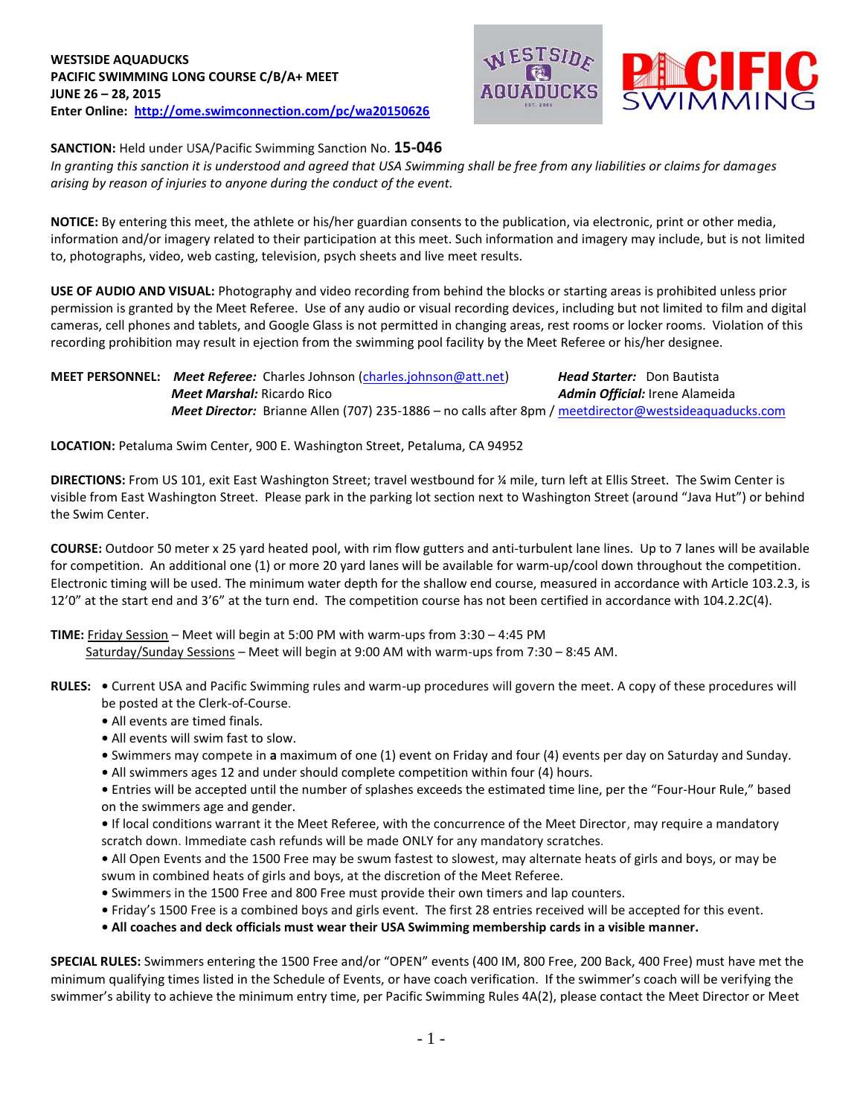



**SANCTION:** Held under USA/Pacific Swimming Sanction No. **15-046**

*In granting this sanction it is understood and agreed that USA Swimming shall be free from any liabilities or claims for damages arising by reason of injuries to anyone during the conduct of the event.*

**NOTICE:** By entering this meet, the athlete or his/her guardian consents to the publication, via electronic, print or other media, information and/or imagery related to their participation at this meet. Such information and imagery may include, but is not limited to, photographs, video, web casting, television, psych sheets and live meet results.

**USE OF AUDIO AND VISUAL:** Photography and video recording from behind the blocks or starting areas is prohibited unless prior permission is granted by the Meet Referee. Use of any audio or visual recording devices, including but not limited to film and digital cameras, cell phones and tablets, and Google Glass is not permitted in changing areas, rest rooms or locker rooms. Violation of this recording prohibition may result in ejection from the swimming pool facility by the Meet Referee or his/her designee.

## **MEET PERSONNEL:** *Meet Referee:* Charles Johnson [\(charles.johnson@att.net\)](mailto:charles.johnson@att.net) *Head Starter:* Don Bautista  *Meet Marshal:* Ricardo Rico*Admin Official:* Irene Alameida  *Meet Director:* Brianne Allen (707) 235-1886 – no calls after 8pm / [meetdirector@westsideaquaducks.com](mailto:meetdirector@westsideaquaducks.com)

**LOCATION:** Petaluma Swim Center, 900 E. Washington Street, Petaluma, CA 94952

**DIRECTIONS:** From US 101, exit East Washington Street; travel westbound for ¼ mile, turn left at Ellis Street. The Swim Center is visible from East Washington Street. Please park in the parking lot section next to Washington Street (around "Java Hut") or behind the Swim Center.

**COURSE:** Outdoor 50 meter x 25 yard heated pool, with rim flow gutters and anti-turbulent lane lines. Up to 7 lanes will be available for competition. An additional one (1) or more 20 yard lanes will be available for warm-up/cool down throughout the competition. Electronic timing will be used. The minimum water depth for the shallow end course, measured in accordance with Article 103.2.3, is 12'0" at the start end and 3'6" at the turn end. The competition course has not been certified in accordance with 104.2.2C(4).

## **TIME:** Friday Session – Meet will begin at 5:00 PM with warm-ups from 3:30 – 4:45 PM

Saturday/Sunday Sessions – Meet will begin at 9:00 AM with warm-ups from 7:30 – 8:45 AM.

- **RULES:** Current USA and Pacific Swimming rules and warm-up procedures will govern the meet. A copy of these procedures will be posted at the Clerk-of-Course.
	- **•** All events are timed finals.
	- **•** All events will swim fast to slow.
	- **•** Swimmers may compete in **a** maximum of one (1) event on Friday and four (4) events per day on Saturday and Sunday.
	- **•** All swimmers ages 12 and under should complete competition within four (4) hours.
	- **•** Entries will be accepted until the number of splashes exceeds the estimated time line, per the "Four-Hour Rule," based on the swimmers age and gender.
	- If local conditions warrant it the Meet Referee, with the concurrence of the Meet Director, may require a mandatory scratch down. Immediate cash refunds will be made ONLY for any mandatory scratches.

**•** All Open Events and the 1500 Free may be swum fastest to slowest, may alternate heats of girls and boys, or may be swum in combined heats of girls and boys, at the discretion of the Meet Referee.

- Swimmers in the 1500 Free and 800 Free must provide their own timers and lap counters.
- Friday's 1500 Free is a combined boys and girls event. The first 28 entries received will be accepted for this event.
- **• All coaches and deck officials must wear their USA Swimming membership cards in a visible manner.**

**SPECIAL RULES:** Swimmers entering the 1500 Free and/or "OPEN" events (400 IM, 800 Free, 200 Back, 400 Free) must have met the minimum qualifying times listed in the Schedule of Events, or have coach verification. If the swimmer's coach will be verifying the swimmer's ability to achieve the minimum entry time, per Pacific Swimming Rules 4A(2), please contact the Meet Director or Meet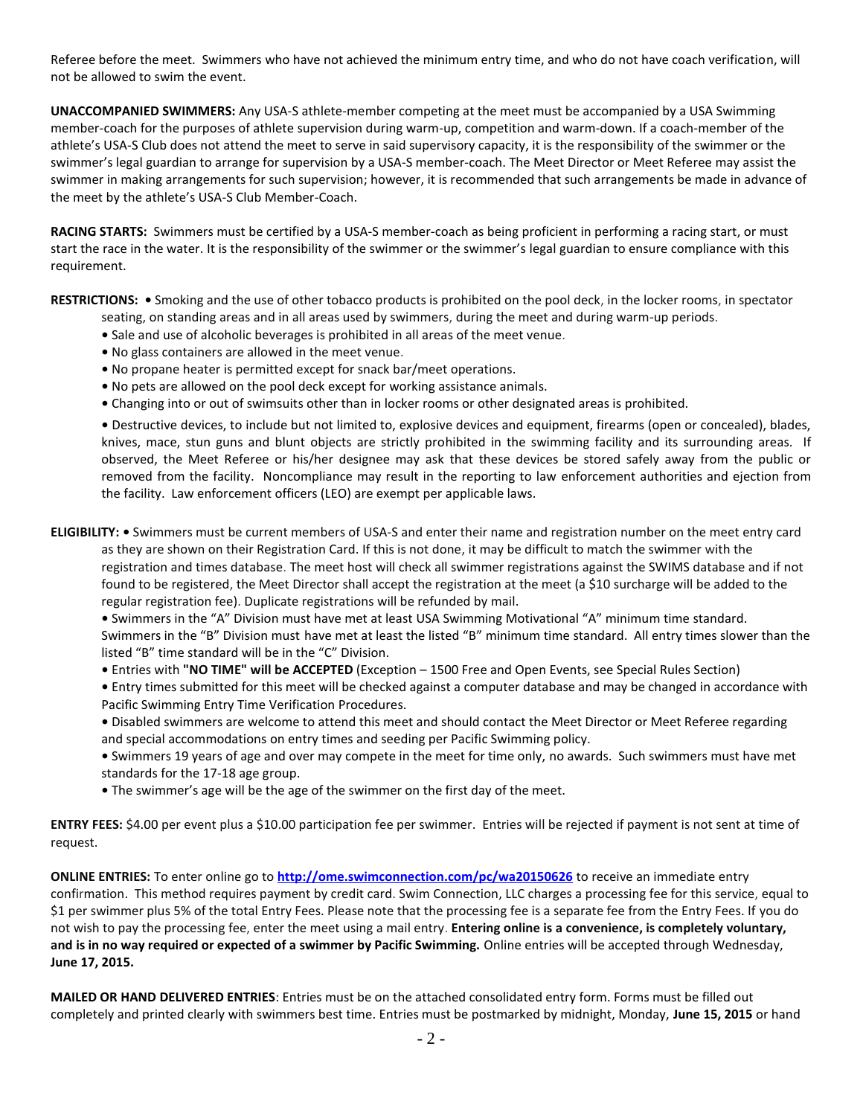Referee before the meet. Swimmers who have not achieved the minimum entry time, and who do not have coach verification, will not be allowed to swim the event.

**UNACCOMPANIED SWIMMERS:** Any USA-S athlete-member competing at the meet must be accompanied by a USA Swimming member-coach for the purposes of athlete supervision during warm-up, competition and warm-down. If a coach-member of the athlete's USA-S Club does not attend the meet to serve in said supervisory capacity, it is the responsibility of the swimmer or the swimmer's legal guardian to arrange for supervision by a USA-S member-coach. The Meet Director or Meet Referee may assist the swimmer in making arrangements for such supervision; however, it is recommended that such arrangements be made in advance of the meet by the athlete's USA-S Club Member-Coach.

**RACING STARTS:** Swimmers must be certified by a USA-S member-coach as being proficient in performing a racing start, or must start the race in the water. It is the responsibility of the swimmer or the swimmer's legal guardian to ensure compliance with this requirement.

**RESTRICTIONS: •** Smoking and the use of other tobacco products is prohibited on the pool deck, in the locker rooms, in spectator

- seating, on standing areas and in all areas used by swimmers, during the meet and during warm-up periods.
- **•** Sale and use of alcoholic beverages is prohibited in all areas of the meet venue.
- **•** No glass containers are allowed in the meet venue.
- **•** No propane heater is permitted except for snack bar/meet operations.
- **•** No pets are allowed on the pool deck except for working assistance animals.
- Changing into or out of swimsuits other than in locker rooms or other designated areas is prohibited.

**•** Destructive devices, to include but not limited to, explosive devices and equipment, firearms (open or concealed), blades, knives, mace, stun guns and blunt objects are strictly prohibited in the swimming facility and its surrounding areas. If observed, the Meet Referee or his/her designee may ask that these devices be stored safely away from the public or removed from the facility. Noncompliance may result in the reporting to law enforcement authorities and ejection from the facility. Law enforcement officers (LEO) are exempt per applicable laws.

**ELIGIBILITY: •** Swimmers must be current members of USA-S and enter their name and registration number on the meet entry card

as they are shown on their Registration Card. If this is not done, it may be difficult to match the swimmer with the registration and times database. The meet host will check all swimmer registrations against the SWIMS database and if not found to be registered, the Meet Director shall accept the registration at the meet (a \$10 surcharge will be added to the regular registration fee). Duplicate registrations will be refunded by mail.

**•** Swimmers in the "A" Division must have met at least USA Swimming Motivational "A" minimum time standard. Swimmers in the "B" Division must have met at least the listed "B" minimum time standard. All entry times slower than the listed "B" time standard will be in the "C" Division.

- **•** Entries with **"NO TIME" will be ACCEPTED** (Exception 1500 Free and Open Events, see Special Rules Section)
- **•** Entry times submitted for this meet will be checked against a computer database and may be changed in accordance with Pacific Swimming Entry Time Verification Procedures.
- **•** Disabled swimmers are welcome to attend this meet and should contact the Meet Director or Meet Referee regarding and special accommodations on entry times and seeding per Pacific Swimming policy.
- **•** Swimmers 19 years of age and over may compete in the meet for time only, no awards. Such swimmers must have met standards for the 17-18 age group.
- **•** The swimmer's age will be the age of the swimmer on the first day of the meet.

**ENTRY FEES:** \$4.00 per event plus a \$10.00 participation fee per swimmer. Entries will be rejected if payment is not sent at time of request.

**ONLINE ENTRIES:** To enter online go to **<http://ome.swimconnection.com/pc/wa20150626>** to receive an immediate entry confirmation. This method requires payment by credit card. Swim Connection, LLC charges a processing fee for this service, equal to \$1 per swimmer plus 5% of the total Entry Fees. Please note that the processing fee is a separate fee from the Entry Fees. If you do not wish to pay the processing fee, enter the meet using a mail entry. **Entering online is a convenience, is completely voluntary, and is in no way required or expected of a swimmer by Pacific Swimming.** Online entries will be accepted through Wednesday, **June 17, 2015.**

**MAILED OR HAND DELIVERED ENTRIES**: Entries must be on the attached consolidated entry form. Forms must be filled out completely and printed clearly with swimmers best time. Entries must be postmarked by midnight, Monday, **June 15, 2015** or hand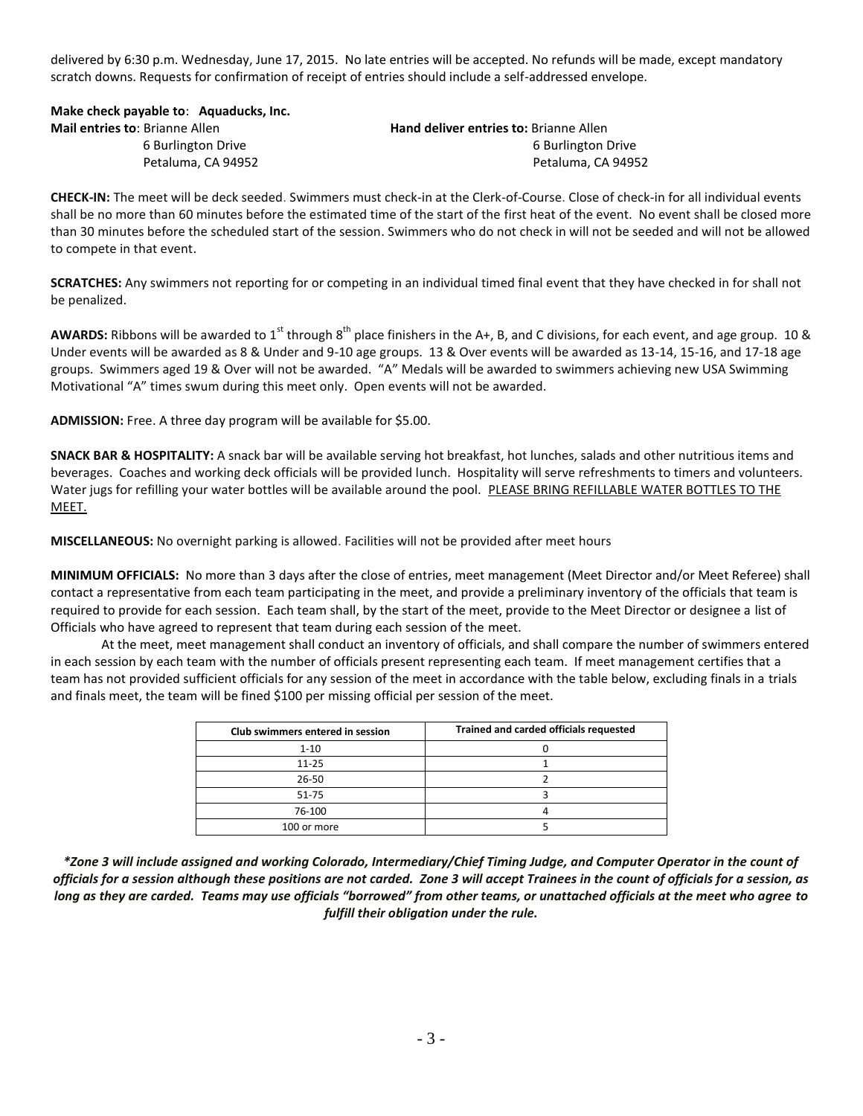delivered by 6:30 p.m. Wednesday, June 17, 2015. No late entries will be accepted. No refunds will be made, except mandatory scratch downs. Requests for confirmation of receipt of entries should include a self-addressed envelope.

|  |  | Make check payable to: Aquaducks, Inc. |
|--|--|----------------------------------------|
|  |  |                                        |

| <b>Mail entries to: Brianne Allen</b> | <b>Hand deliver entries to: Brianne Allen</b> |
|---------------------------------------|-----------------------------------------------|
| 6 Burlington Drive                    | 6 Burlington Drive                            |
| Petaluma. CA 94952                    | Petaluma, CA 94952                            |

**CHECK-IN:** The meet will be deck seeded. Swimmers must check-in at the Clerk-of-Course. Close of check-in for all individual events shall be no more than 60 minutes before the estimated time of the start of the first heat of the event. No event shall be closed more than 30 minutes before the scheduled start of the session. Swimmers who do not check in will not be seeded and will not be allowed to compete in that event.

**SCRATCHES:** Any swimmers not reporting for or competing in an individual timed final event that they have checked in for shall not be penalized.

AWARDS: Ribbons will be awarded to 1<sup>st</sup> through 8<sup>th</sup> place finishers in the A+, B, and C divisions, for each event, and age group. 10 & Under events will be awarded as 8 & Under and 9-10 age groups. 13 & Over events will be awarded as 13-14, 15-16, and 17-18 age groups. Swimmers aged 19 & Over will not be awarded. "A" Medals will be awarded to swimmers achieving new USA Swimming Motivational "A" times swum during this meet only. Open events will not be awarded.

**ADMISSION:** Free. A three day program will be available for \$5.00.

**SNACK BAR & HOSPITALITY:** A snack bar will be available serving hot breakfast, hot lunches, salads and other nutritious items and beverages. Coaches and working deck officials will be provided lunch. Hospitality will serve refreshments to timers and volunteers. Water jugs for refilling your water bottles will be available around the pool. PLEASE BRING REFILLABLE WATER BOTTLES TO THE MEET.

**MISCELLANEOUS:** No overnight parking is allowed. Facilities will not be provided after meet hours

**MINIMUM OFFICIALS:** No more than 3 days after the close of entries, meet management (Meet Director and/or Meet Referee) shall contact a representative from each team participating in the meet, and provide a preliminary inventory of the officials that team is required to provide for each session. Each team shall, by the start of the meet, provide to the Meet Director or designee a list of Officials who have agreed to represent that team during each session of the meet.

At the meet, meet management shall conduct an inventory of officials, and shall compare the number of swimmers entered in each session by each team with the number of officials present representing each team. If meet management certifies that a team has not provided sufficient officials for any session of the meet in accordance with the table below, excluding finals in a trials and finals meet, the team will be fined \$100 per missing official per session of the meet.

| Club swimmers entered in session | Trained and carded officials requested |
|----------------------------------|----------------------------------------|
| $1 - 10$                         |                                        |
| $11 - 25$                        |                                        |
| $26 - 50$                        |                                        |
| 51-75                            |                                        |
| 76-100                           |                                        |
| 100 or more                      |                                        |

*\*Zone 3 will include assigned and working Colorado, Intermediary/Chief Timing Judge, and Computer Operator in the count of officials for a session although these positions are not carded. Zone 3 will accept Trainees in the count of officials for a session, as long as they are carded. Teams may use officials "borrowed" from other teams, or unattached officials at the meet who agree to fulfill their obligation under the rule.*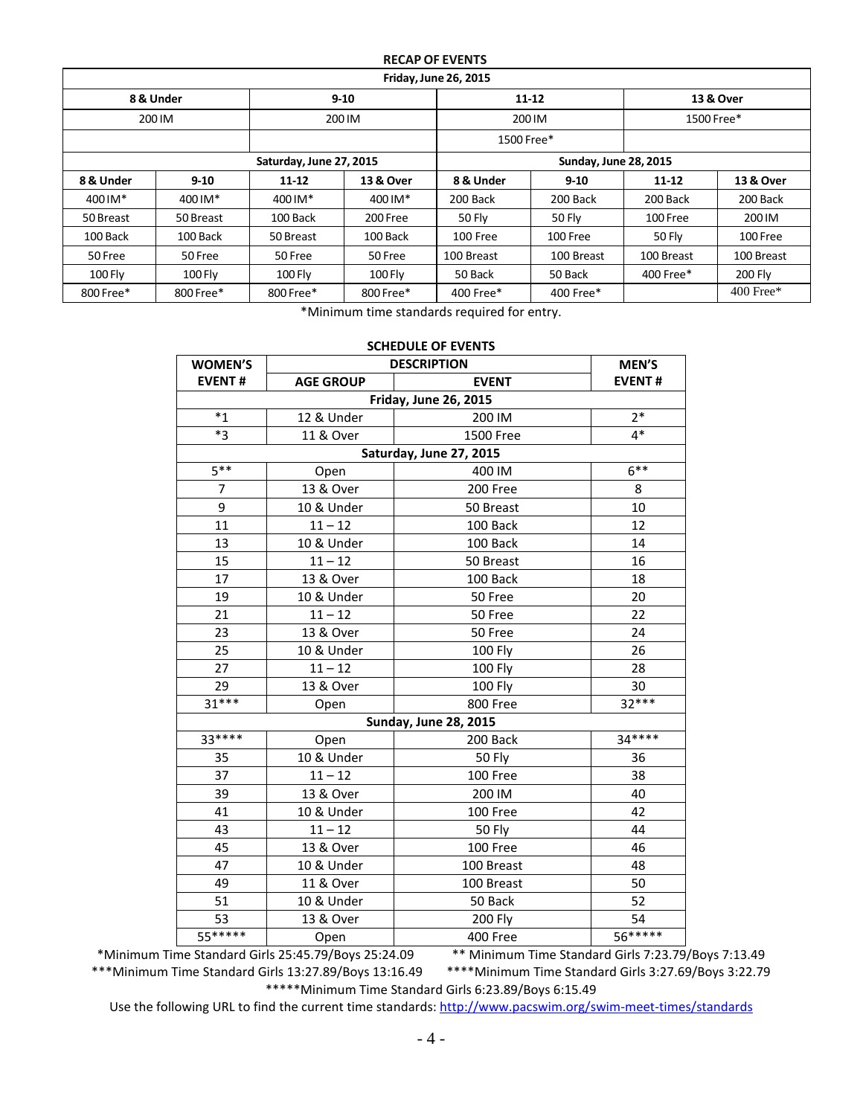## **RECAP OF EVENTS**

| <b>Friday, June 26, 2015</b> |           |                         |           |                          |                              |            |             |  |
|------------------------------|-----------|-------------------------|-----------|--------------------------|------------------------------|------------|-------------|--|
|                              | 8 & Under |                         | $9-10$    | $11 - 12$                |                              | 13 & Over  |             |  |
|                              | 200 IM    | 200 IM                  |           | 200 IM                   |                              | 1500 Free* |             |  |
|                              |           |                         |           | 1500 Free*               |                              |            |             |  |
|                              |           | Saturday, June 27, 2015 |           |                          | <b>Sunday, June 28, 2015</b> |            |             |  |
| 8 & Under                    | $9-10$    | $11 - 12$               | 13 & Over | 8 & Under<br>$9 - 10$    |                              | $11 - 12$  | 13 & Over   |  |
| 400 IM*                      | 400 IM*   | 400 IM*                 | 400 IM*   | 200 Back                 | 200 Back                     | 200 Back   | 200 Back    |  |
| 50 Breast                    | 50 Breast | 100 Back                | 200 Free  | 50 Fly<br>50 Flv         |                              | 100 Free   | 200 IM      |  |
| 100 Back                     | 100 Back  | 50 Breast               | 100 Back  | 100 Free<br>100 Free     |                              | 50 Fly     | 100 Free    |  |
| 50 Free                      | 50 Free   | 50 Free                 | 50 Free   | 100 Breast<br>100 Breast |                              | 100 Breast | 100 Breast  |  |
| <b>100 Fly</b>               | $100$ Fly | $100$ Fly               | $100$ Fly | 50 Back                  | 50 Back                      | 400 Free*  | 200 Fly     |  |
| 800 Free*                    | 800 Free* | 800 Free*<br>800 Free*  |           | 400 Free*                | 400 Free*                    |            | $400$ Free* |  |

\*Minimum time standards required for entry.

| <b>SCHEDULE OF EVENTS</b>    |                  |                              |               |  |  |  |  |  |  |
|------------------------------|------------------|------------------------------|---------------|--|--|--|--|--|--|
| <b>WOMEN'S</b>               |                  | <b>DESCRIPTION</b>           | MEN'S         |  |  |  |  |  |  |
| <b>EVENT#</b>                | <b>AGE GROUP</b> | <b>EVENT</b>                 | <b>EVENT#</b> |  |  |  |  |  |  |
| <b>Friday, June 26, 2015</b> |                  |                              |               |  |  |  |  |  |  |
| $*_{1}$                      | 12 & Under       | 200 IM                       | $2*$          |  |  |  |  |  |  |
| $*3$                         | 11 & Over        | 1500 Free                    | $4*$          |  |  |  |  |  |  |
| Saturday, June 27, 2015      |                  |                              |               |  |  |  |  |  |  |
| $5***$                       | Open             | 400 IM                       | $6***$        |  |  |  |  |  |  |
| 7                            | 13 & Over        | 200 Free                     | 8             |  |  |  |  |  |  |
| 9                            | 10 & Under       | 50 Breast                    | 10            |  |  |  |  |  |  |
| 11                           | $11 - 12$        | 100 Back                     | 12            |  |  |  |  |  |  |
| 13                           | 10 & Under       | 100 Back                     | 14            |  |  |  |  |  |  |
| 15                           | $11 - 12$        | 50 Breast                    | 16            |  |  |  |  |  |  |
| 17                           | 13 & Over        | 100 Back                     | 18            |  |  |  |  |  |  |
| 19                           | 10 & Under       | 50 Free                      | 20            |  |  |  |  |  |  |
| 21                           | $11 - 12$        | 50 Free                      | 22            |  |  |  |  |  |  |
| 23                           | 13 & Over        | 50 Free                      | 24            |  |  |  |  |  |  |
| 25                           | 10 & Under       | <b>100 Fly</b>               | 26            |  |  |  |  |  |  |
| 27                           | $11 - 12$        | <b>100 Fly</b>               | 28            |  |  |  |  |  |  |
| 29                           | 13 & Over        | 100 Fly                      |               |  |  |  |  |  |  |
| $31***$                      | Open             | 800 Free                     | $32***$       |  |  |  |  |  |  |
|                              |                  | <b>Sunday, June 28, 2015</b> |               |  |  |  |  |  |  |
| $33***$                      | Open             | 200 Back                     | $34***$       |  |  |  |  |  |  |
| 35                           | 10 & Under       | 50 Fly                       | 36            |  |  |  |  |  |  |
| 37                           | $11 - 12$        | 100 Free                     | 38            |  |  |  |  |  |  |
| 39                           | 13 & Over        | 200 IM                       | 40            |  |  |  |  |  |  |
| 41                           | 10 & Under       | 100 Free                     | 42            |  |  |  |  |  |  |
| 43                           | $11 - 12$        | 50 Fly                       | 44            |  |  |  |  |  |  |
| 45                           | 13 & Over        | 100 Free                     | 46            |  |  |  |  |  |  |
| 47                           | 10 & Under       | 100 Breast                   | 48            |  |  |  |  |  |  |
| 49                           | 11 & Over        | 100 Breast                   | 50            |  |  |  |  |  |  |
| 51                           | 10 & Under       | 50 Back                      | 52            |  |  |  |  |  |  |
| 53                           | <b>200 Fly</b>   | 54                           |               |  |  |  |  |  |  |
| $55***$                      | Open             | 400 Free                     | $56******$    |  |  |  |  |  |  |

\*Minimum Time Standard Girls 25:45.79/Boys 25:24.09 \*\* Minimum Time Standard Girls 7:23.79/Boys 7:13.49 \*\*\*\*Minimum Time Standard Girls 3:27.69/Boys 3:22.79 \*\*\*\*\*Minimum Time Standard Girls 6:23.89/Boys 6:15.49

Use the following URL to find the current time standards:<http://www.pacswim.org/swim-meet-times/standards>